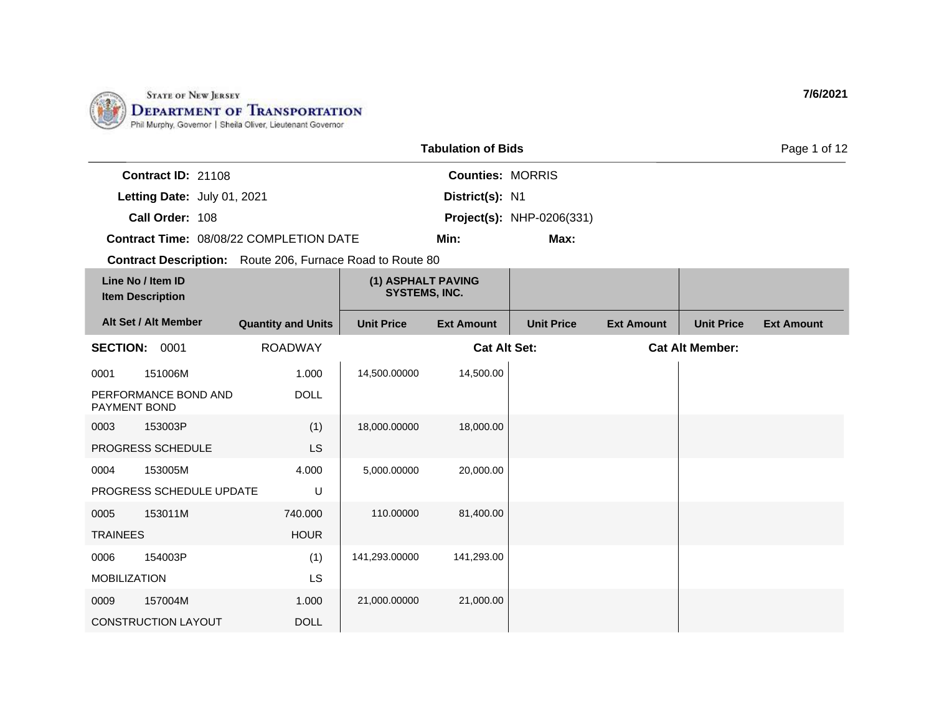

| <b>Tabulation of Bids</b> |                                              |                                                                  |                                            |                         |                           |                   |                        | Page 1 of 12      |
|---------------------------|----------------------------------------------|------------------------------------------------------------------|--------------------------------------------|-------------------------|---------------------------|-------------------|------------------------|-------------------|
|                           | Contract ID: 21108                           |                                                                  |                                            | <b>Counties: MORRIS</b> |                           |                   |                        |                   |
|                           | Letting Date: July 01, 2021                  |                                                                  |                                            | District(s): N1         |                           |                   |                        |                   |
|                           | Call Order: 108                              |                                                                  |                                            |                         | Project(s): NHP-0206(331) |                   |                        |                   |
|                           |                                              | Contract Time: 08/08/22 COMPLETION DATE                          |                                            | Min:                    | Max:                      |                   |                        |                   |
|                           |                                              | <b>Contract Description:</b> Route 206, Furnace Road to Route 80 |                                            |                         |                           |                   |                        |                   |
|                           | Line No / Item ID<br><b>Item Description</b> |                                                                  | (1) ASPHALT PAVING<br><b>SYSTEMS, INC.</b> |                         |                           |                   |                        |                   |
|                           | Alt Set / Alt Member                         | <b>Quantity and Units</b>                                        | <b>Unit Price</b>                          | <b>Ext Amount</b>       | <b>Unit Price</b>         | <b>Ext Amount</b> | <b>Unit Price</b>      | <b>Ext Amount</b> |
|                           | SECTION: 0001                                | <b>ROADWAY</b>                                                   |                                            | <b>Cat Alt Set:</b>     |                           |                   | <b>Cat Alt Member:</b> |                   |
| 0001                      | 151006M                                      | 1.000                                                            | 14,500.00000                               | 14,500.00               |                           |                   |                        |                   |
| PAYMENT BOND              | PERFORMANCE BOND AND                         | <b>DOLL</b>                                                      |                                            |                         |                           |                   |                        |                   |
| 0003                      | 153003P                                      | (1)                                                              | 18,000.00000                               | 18,000.00               |                           |                   |                        |                   |
|                           | PROGRESS SCHEDULE                            | <b>LS</b>                                                        |                                            |                         |                           |                   |                        |                   |
| 0004                      | 153005M                                      | 4.000                                                            | 5,000.00000                                | 20,000.00               |                           |                   |                        |                   |
|                           | PROGRESS SCHEDULE UPDATE                     | U                                                                |                                            |                         |                           |                   |                        |                   |
| 0005                      | 153011M                                      | 740.000                                                          | 110.00000                                  | 81,400.00               |                           |                   |                        |                   |
| <b>TRAINEES</b>           |                                              | <b>HOUR</b>                                                      |                                            |                         |                           |                   |                        |                   |
| 0006                      | 154003P                                      | (1)                                                              | 141,293.00000                              | 141,293.00              |                           |                   |                        |                   |
| <b>MOBILIZATION</b>       |                                              | <b>LS</b>                                                        |                                            |                         |                           |                   |                        |                   |
| 0009                      | 157004M                                      | 1.000                                                            | 21,000.00000                               | 21,000.00               |                           |                   |                        |                   |
|                           | <b>CONSTRUCTION LAYOUT</b>                   | <b>DOLL</b>                                                      |                                            |                         |                           |                   |                        |                   |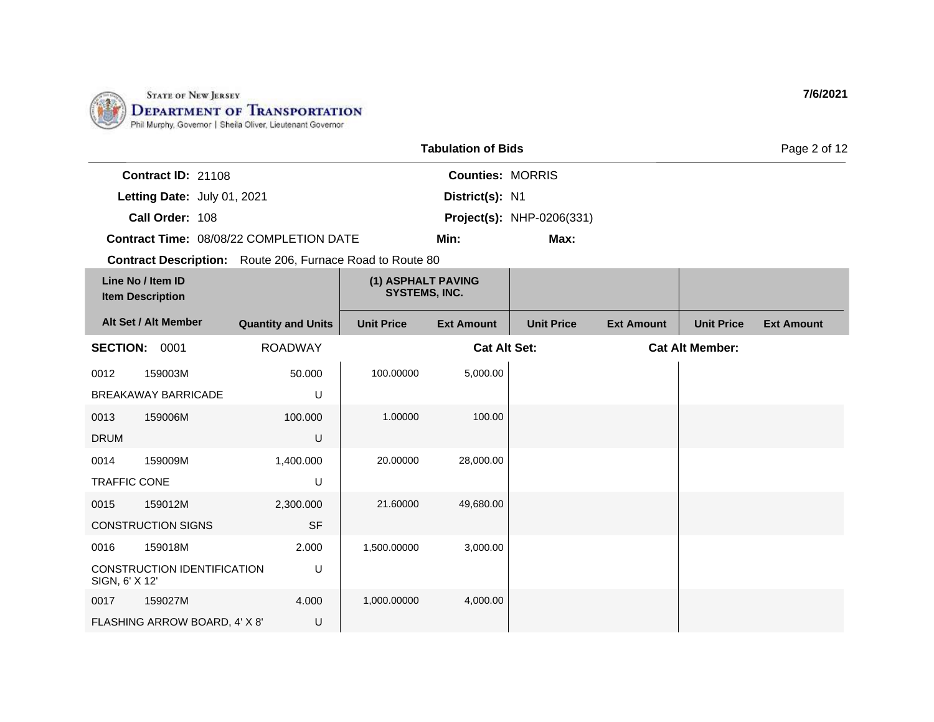

|                                              |                                    |                                                                  |                                            | <b>Tabulation of Bids</b> |                                  |                   |                        | Page 2 of 12      |
|----------------------------------------------|------------------------------------|------------------------------------------------------------------|--------------------------------------------|---------------------------|----------------------------------|-------------------|------------------------|-------------------|
|                                              | Contract ID: 21108                 |                                                                  |                                            | <b>Counties: MORRIS</b>   |                                  |                   |                        |                   |
|                                              | Letting Date: July 01, 2021        |                                                                  |                                            | District(s): N1           |                                  |                   |                        |                   |
|                                              | Call Order: 108                    |                                                                  |                                            |                           | <b>Project(s): NHP-0206(331)</b> |                   |                        |                   |
|                                              |                                    | Contract Time: 08/08/22 COMPLETION DATE                          |                                            | Min:                      | Max:                             |                   |                        |                   |
|                                              |                                    | <b>Contract Description:</b> Route 206, Furnace Road to Route 80 |                                            |                           |                                  |                   |                        |                   |
| Line No / Item ID<br><b>Item Description</b> |                                    |                                                                  | (1) ASPHALT PAVING<br><b>SYSTEMS, INC.</b> |                           |                                  |                   |                        |                   |
|                                              | Alt Set / Alt Member               | <b>Quantity and Units</b>                                        | <b>Unit Price</b>                          | <b>Ext Amount</b>         | <b>Unit Price</b>                | <b>Ext Amount</b> | <b>Unit Price</b>      | <b>Ext Amount</b> |
| <b>SECTION: 0001</b>                         |                                    | <b>ROADWAY</b>                                                   |                                            | <b>Cat Alt Set:</b>       |                                  |                   | <b>Cat Alt Member:</b> |                   |
| 0012                                         | 159003M                            | 50.000                                                           | 100.00000                                  | 5,000.00                  |                                  |                   |                        |                   |
|                                              | <b>BREAKAWAY BARRICADE</b>         | U                                                                |                                            |                           |                                  |                   |                        |                   |
| 0013                                         | 159006M                            | 100.000                                                          | 1.00000                                    | 100.00                    |                                  |                   |                        |                   |
| <b>DRUM</b>                                  |                                    | U                                                                |                                            |                           |                                  |                   |                        |                   |
| 0014                                         | 159009M                            | 1,400.000                                                        | 20.00000                                   | 28,000.00                 |                                  |                   |                        |                   |
| <b>TRAFFIC CONE</b>                          |                                    | U                                                                |                                            |                           |                                  |                   |                        |                   |
| 0015                                         | 159012M                            | 2,300.000                                                        | 21.60000                                   | 49,680.00                 |                                  |                   |                        |                   |
|                                              | <b>CONSTRUCTION SIGNS</b>          | <b>SF</b>                                                        |                                            |                           |                                  |                   |                        |                   |
| 0016                                         | 159018M                            | 2.000                                                            | 1,500.00000                                | 3,000.00                  |                                  |                   |                        |                   |
| SIGN, 6' X 12'                               | <b>CONSTRUCTION IDENTIFICATION</b> | U                                                                |                                            |                           |                                  |                   |                        |                   |
| 0017                                         | 159027M                            | 4.000                                                            | 1,000.00000                                | 4,000.00                  |                                  |                   |                        |                   |
|                                              | FLASHING ARROW BOARD, 4' X 8'      | U                                                                |                                            |                           |                                  |                   |                        |                   |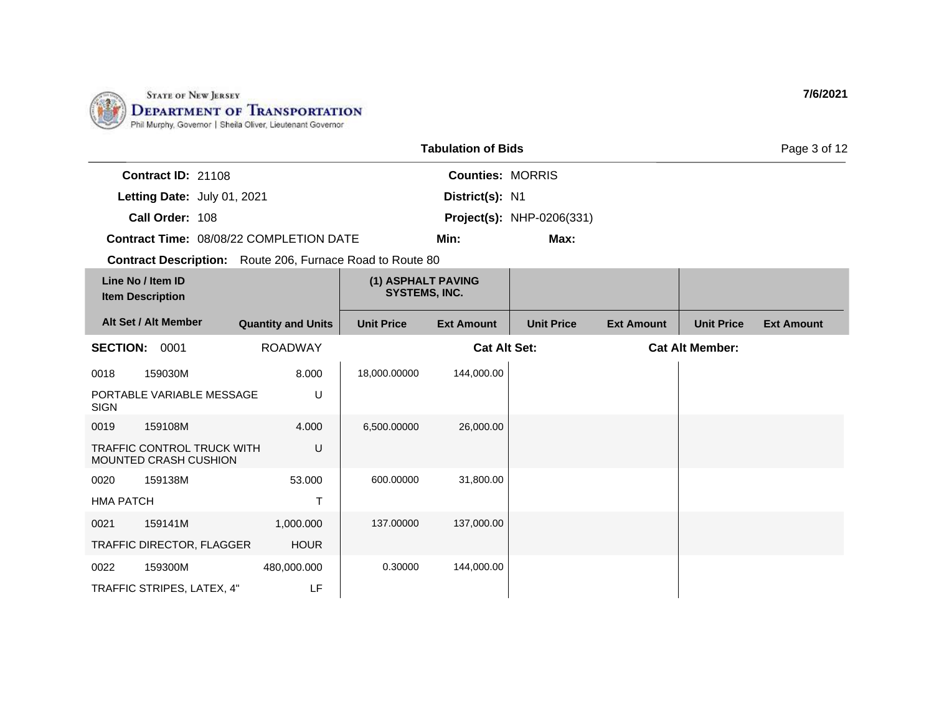

| <b>Tabulation of Bids</b>                 |                                                                  |  |                           |                                            |                         |                                  | Page 3 of 12      |                   |                   |
|-------------------------------------------|------------------------------------------------------------------|--|---------------------------|--------------------------------------------|-------------------------|----------------------------------|-------------------|-------------------|-------------------|
|                                           | Contract ID: 21108                                               |  |                           |                                            | <b>Counties: MORRIS</b> |                                  |                   |                   |                   |
|                                           | Letting Date: July 01, 2021                                      |  |                           |                                            | District(s): N1         |                                  |                   |                   |                   |
|                                           | Call Order: 108                                                  |  |                           |                                            |                         | <b>Project(s): NHP-0206(331)</b> |                   |                   |                   |
|                                           | Contract Time: 08/08/22 COMPLETION DATE                          |  |                           |                                            | Min:                    | Max:                             |                   |                   |                   |
|                                           | <b>Contract Description:</b> Route 206, Furnace Road to Route 80 |  |                           |                                            |                         |                                  |                   |                   |                   |
|                                           | Line No / Item ID<br><b>Item Description</b>                     |  |                           | (1) ASPHALT PAVING<br><b>SYSTEMS, INC.</b> |                         |                                  |                   |                   |                   |
|                                           | Alt Set / Alt Member                                             |  | <b>Quantity and Units</b> | <b>Unit Price</b>                          | <b>Ext Amount</b>       | <b>Unit Price</b>                | <b>Ext Amount</b> | <b>Unit Price</b> | <b>Ext Amount</b> |
| <b>ROADWAY</b><br><b>SECTION:</b><br>0001 |                                                                  |  |                           | <b>Cat Alt Set:</b>                        |                         | <b>Cat Alt Member:</b>           |                   |                   |                   |
| 0018                                      | 159030M                                                          |  | 8.000                     | 18,000.00000                               | 144,000.00              |                                  |                   |                   |                   |
| <b>SIGN</b>                               | PORTABLE VARIABLE MESSAGE                                        |  | U                         |                                            |                         |                                  |                   |                   |                   |
| 0019                                      | 159108M                                                          |  | 4.000                     | 6,500.00000                                | 26,000.00               |                                  |                   |                   |                   |
|                                           | TRAFFIC CONTROL TRUCK WITH<br>MOUNTED CRASH CUSHION              |  | U                         |                                            |                         |                                  |                   |                   |                   |
| 0020                                      | 159138M                                                          |  | 53.000                    | 600.00000                                  | 31,800.00               |                                  |                   |                   |                   |
| <b>HMA PATCH</b>                          |                                                                  |  | $\mathsf T$               |                                            |                         |                                  |                   |                   |                   |
| 0021                                      | 159141M                                                          |  | 1,000.000                 | 137.00000                                  | 137,000.00              |                                  |                   |                   |                   |
|                                           | TRAFFIC DIRECTOR, FLAGGER                                        |  | <b>HOUR</b>               |                                            |                         |                                  |                   |                   |                   |
| 0022                                      | 159300M                                                          |  | 480,000.000               | 0.30000                                    | 144,000.00              |                                  |                   |                   |                   |
|                                           | TRAFFIC STRIPES, LATEX, 4"                                       |  | LF                        |                                            |                         |                                  |                   |                   |                   |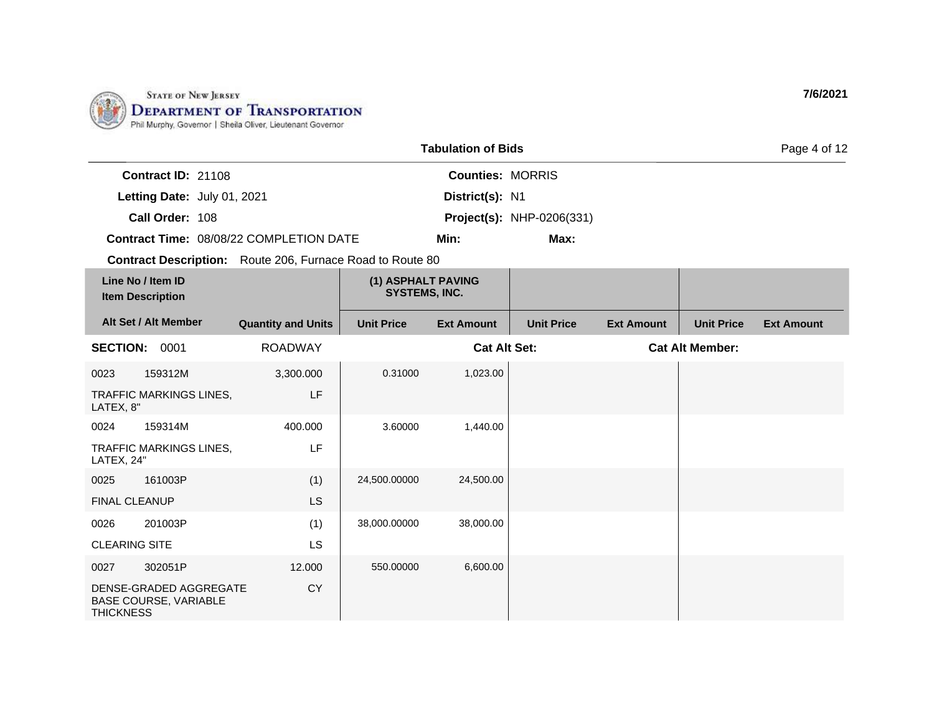

| <b>Tabulation of Bids</b><br>Page 4 of 12    |                                                        |                                                                  |                                            |                         |                                  |                   |                        |                   |
|----------------------------------------------|--------------------------------------------------------|------------------------------------------------------------------|--------------------------------------------|-------------------------|----------------------------------|-------------------|------------------------|-------------------|
|                                              | Contract ID: 21108                                     |                                                                  |                                            | <b>Counties: MORRIS</b> |                                  |                   |                        |                   |
|                                              | Letting Date: July 01, 2021                            |                                                                  |                                            | District(s): N1         |                                  |                   |                        |                   |
|                                              | Call Order: 108                                        |                                                                  |                                            |                         | <b>Project(s): NHP-0206(331)</b> |                   |                        |                   |
|                                              |                                                        | Contract Time: 08/08/22 COMPLETION DATE                          |                                            | Min:                    | Max:                             |                   |                        |                   |
|                                              |                                                        | <b>Contract Description:</b> Route 206, Furnace Road to Route 80 |                                            |                         |                                  |                   |                        |                   |
| Line No / Item ID<br><b>Item Description</b> |                                                        |                                                                  | (1) ASPHALT PAVING<br><b>SYSTEMS, INC.</b> |                         |                                  |                   |                        |                   |
|                                              | Alt Set / Alt Member                                   | <b>Quantity and Units</b>                                        | <b>Unit Price</b>                          | <b>Ext Amount</b>       | <b>Unit Price</b>                | <b>Ext Amount</b> | <b>Unit Price</b>      | <b>Ext Amount</b> |
|                                              | <b>SECTION: 0001</b>                                   | <b>ROADWAY</b>                                                   |                                            | <b>Cat Alt Set:</b>     |                                  |                   | <b>Cat Alt Member:</b> |                   |
| 0023                                         | 159312M                                                | 3,300.000                                                        | 0.31000                                    | 1,023.00                |                                  |                   |                        |                   |
| LATEX, 8"                                    | TRAFFIC MARKINGS LINES,                                | LF                                                               |                                            |                         |                                  |                   |                        |                   |
| 0024                                         | 159314M                                                | 400.000                                                          | 3.60000                                    | 1,440.00                |                                  |                   |                        |                   |
| LATEX, 24"                                   | TRAFFIC MARKINGS LINES,                                | LF                                                               |                                            |                         |                                  |                   |                        |                   |
| 0025                                         | 161003P                                                | (1)                                                              | 24,500.00000                               | 24,500.00               |                                  |                   |                        |                   |
|                                              | <b>FINAL CLEANUP</b>                                   | <b>LS</b>                                                        |                                            |                         |                                  |                   |                        |                   |
| 0026                                         | 201003P                                                | (1)                                                              | 38,000.00000                               | 38,000.00               |                                  |                   |                        |                   |
| <b>CLEARING SITE</b>                         |                                                        | LS                                                               |                                            |                         |                                  |                   |                        |                   |
| 0027                                         | 302051P                                                | 12.000                                                           | 550.00000                                  | 6,600.00                |                                  |                   |                        |                   |
| <b>THICKNESS</b>                             | DENSE-GRADED AGGREGATE<br><b>BASE COURSE, VARIABLE</b> | <b>CY</b>                                                        |                                            |                         |                                  |                   |                        |                   |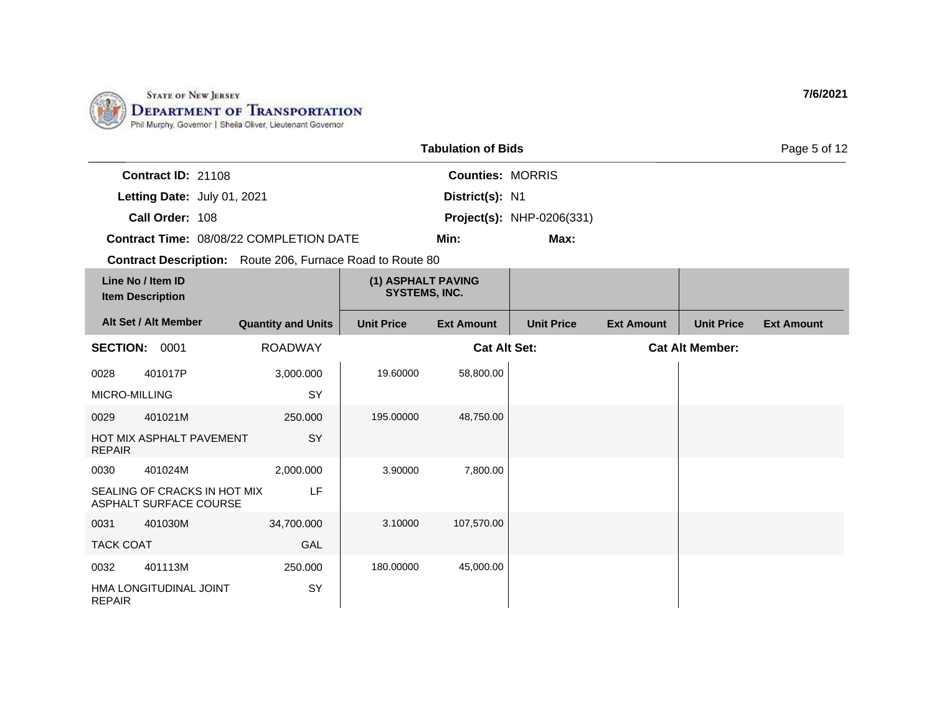

| <b>Tabulation of Bids</b> |                                                        |                                                                  |                                            |                         |                                  |                   |                        | Page 5 of 12      |
|---------------------------|--------------------------------------------------------|------------------------------------------------------------------|--------------------------------------------|-------------------------|----------------------------------|-------------------|------------------------|-------------------|
|                           | Contract ID: 21108                                     |                                                                  |                                            | <b>Counties: MORRIS</b> |                                  |                   |                        |                   |
|                           | Letting Date: July 01, 2021                            |                                                                  |                                            | District(s): N1         |                                  |                   |                        |                   |
|                           | Call Order: 108                                        |                                                                  |                                            |                         | <b>Project(s): NHP-0206(331)</b> |                   |                        |                   |
|                           |                                                        | Contract Time: 08/08/22 COMPLETION DATE                          | Min:<br>Max:                               |                         |                                  |                   |                        |                   |
|                           |                                                        | <b>Contract Description:</b> Route 206, Furnace Road to Route 80 |                                            |                         |                                  |                   |                        |                   |
|                           | Line No / Item ID<br><b>Item Description</b>           |                                                                  | (1) ASPHALT PAVING<br><b>SYSTEMS, INC.</b> |                         |                                  |                   |                        |                   |
|                           | Alt Set / Alt Member                                   | <b>Quantity and Units</b>                                        | <b>Unit Price</b>                          | <b>Ext Amount</b>       | <b>Unit Price</b>                | <b>Ext Amount</b> | <b>Unit Price</b>      | <b>Ext Amount</b> |
| <b>SECTION: 0001</b>      |                                                        | <b>ROADWAY</b>                                                   |                                            | <b>Cat Alt Set:</b>     |                                  |                   | <b>Cat Alt Member:</b> |                   |
| 0028                      | 401017P                                                | 3,000.000                                                        | 19.60000                                   | 58,800.00               |                                  |                   |                        |                   |
| MICRO-MILLING             |                                                        | SY                                                               |                                            |                         |                                  |                   |                        |                   |
| 0029                      | 401021M                                                | 250.000                                                          | 195.00000                                  | 48,750.00               |                                  |                   |                        |                   |
| <b>REPAIR</b>             | HOT MIX ASPHALT PAVEMENT                               | SY                                                               |                                            |                         |                                  |                   |                        |                   |
| 0030                      | 401024M                                                | 2,000.000                                                        | 3.90000                                    | 7,800.00                |                                  |                   |                        |                   |
|                           | SEALING OF CRACKS IN HOT MIX<br>ASPHALT SURFACE COURSE | LF                                                               |                                            |                         |                                  |                   |                        |                   |
| 0031                      | 401030M                                                | 34,700.000                                                       | 3.10000                                    | 107,570.00              |                                  |                   |                        |                   |
| <b>TACK COAT</b>          |                                                        | GAL                                                              |                                            |                         |                                  |                   |                        |                   |
| 0032                      | 401113M                                                | 250.000                                                          | 180.00000                                  | 45,000.00               |                                  |                   |                        |                   |
| <b>REPAIR</b>             | HMA LONGITUDINAL JOINT                                 | SY                                                               |                                            |                         |                                  |                   |                        |                   |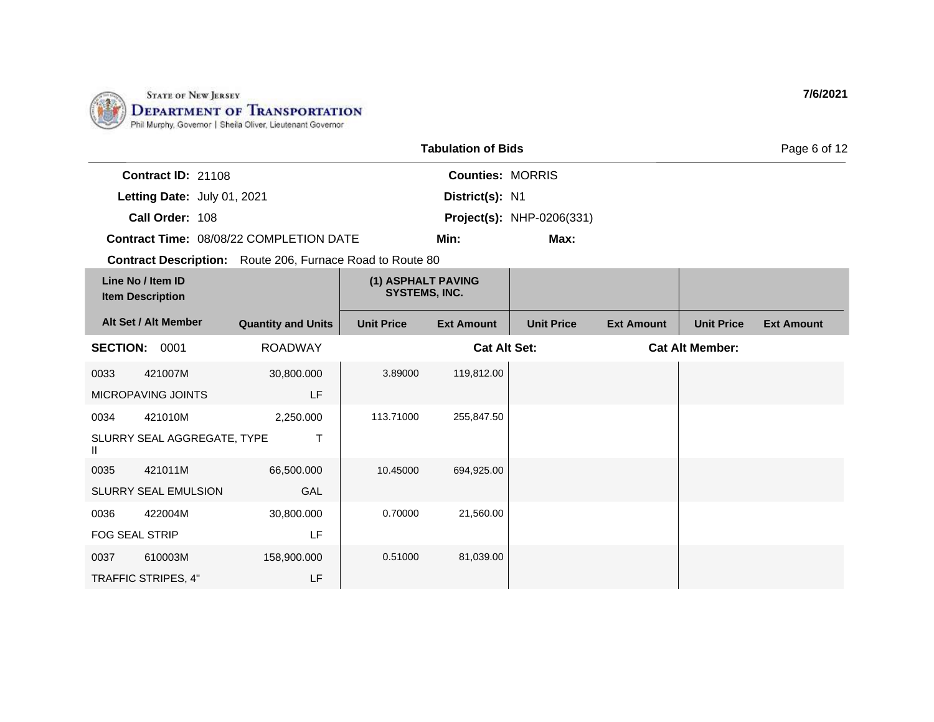

|                                              | <b>Tabulation of Bids</b>   |                                                                  |                                            |                         |                                  |                   |                        | Page 6 of 12      |
|----------------------------------------------|-----------------------------|------------------------------------------------------------------|--------------------------------------------|-------------------------|----------------------------------|-------------------|------------------------|-------------------|
|                                              | Contract ID: 21108          |                                                                  |                                            | <b>Counties: MORRIS</b> |                                  |                   |                        |                   |
|                                              | Letting Date: July 01, 2021 |                                                                  |                                            | District(s): N1         |                                  |                   |                        |                   |
|                                              | Call Order: 108             |                                                                  |                                            |                         | <b>Project(s): NHP-0206(331)</b> |                   |                        |                   |
|                                              |                             | Contract Time: 08/08/22 COMPLETION DATE                          |                                            | Min:                    | Max:                             |                   |                        |                   |
|                                              |                             | <b>Contract Description:</b> Route 206, Furnace Road to Route 80 |                                            |                         |                                  |                   |                        |                   |
| Line No / Item ID<br><b>Item Description</b> |                             |                                                                  | (1) ASPHALT PAVING<br><b>SYSTEMS, INC.</b> |                         |                                  |                   |                        |                   |
|                                              | Alt Set / Alt Member        | <b>Quantity and Units</b>                                        | <b>Unit Price</b>                          | <b>Ext Amount</b>       | <b>Unit Price</b>                | <b>Ext Amount</b> | <b>Unit Price</b>      | <b>Ext Amount</b> |
| <b>SECTION:</b>                              | 0001                        | <b>ROADWAY</b>                                                   |                                            | <b>Cat Alt Set:</b>     |                                  |                   | <b>Cat Alt Member:</b> |                   |
| 0033                                         | 421007M                     | 30,800.000                                                       | 3.89000                                    | 119,812.00              |                                  |                   |                        |                   |
|                                              | MICROPAVING JOINTS          | LF                                                               |                                            |                         |                                  |                   |                        |                   |
| 0034                                         | 421010M                     | 2,250.000                                                        | 113.71000                                  | 255,847.50              |                                  |                   |                        |                   |
| Ш                                            | SLURRY SEAL AGGREGATE, TYPE | $\mathsf{T}$                                                     |                                            |                         |                                  |                   |                        |                   |
| 0035                                         | 421011M                     | 66,500.000                                                       | 10.45000                                   | 694,925.00              |                                  |                   |                        |                   |
|                                              | SLURRY SEAL EMULSION        | GAL                                                              |                                            |                         |                                  |                   |                        |                   |
| 0036                                         | 422004M                     | 30,800.000                                                       | 0.70000                                    | 21,560.00               |                                  |                   |                        |                   |
| <b>FOG SEAL STRIP</b>                        |                             | LF                                                               |                                            |                         |                                  |                   |                        |                   |
| 0037                                         | 610003M                     | 158,900.000                                                      | 0.51000                                    | 81,039.00               |                                  |                   |                        |                   |
| TRAFFIC STRIPES, 4"                          |                             | LF                                                               |                                            |                         |                                  |                   |                        |                   |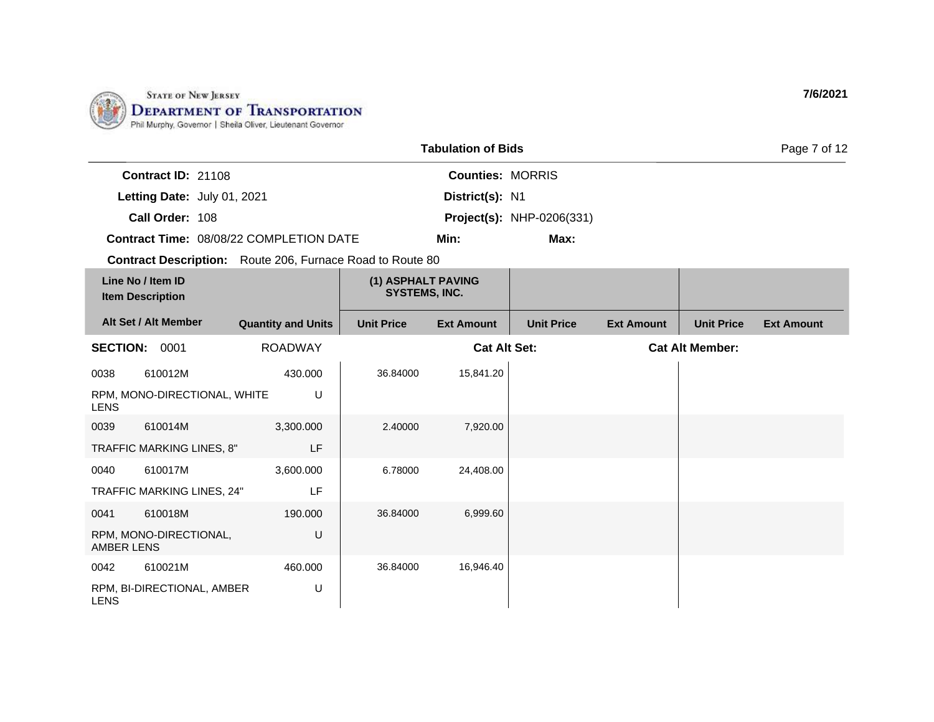

|                   |                                              |                                                                  |                                            | <b>Tabulation of Bids</b> |                                  |                   |                        | Page 7 of 12      |
|-------------------|----------------------------------------------|------------------------------------------------------------------|--------------------------------------------|---------------------------|----------------------------------|-------------------|------------------------|-------------------|
|                   | Contract ID: 21108                           |                                                                  |                                            | <b>Counties: MORRIS</b>   |                                  |                   |                        |                   |
|                   | Letting Date: July 01, 2021                  |                                                                  |                                            | District(s): N1           |                                  |                   |                        |                   |
|                   | Call Order: 108                              |                                                                  |                                            |                           | <b>Project(s): NHP-0206(331)</b> |                   |                        |                   |
|                   |                                              | <b>Contract Time: 08/08/22 COMPLETION DATE</b>                   |                                            | Min:                      | Max:                             |                   |                        |                   |
|                   |                                              | <b>Contract Description:</b> Route 206, Furnace Road to Route 80 |                                            |                           |                                  |                   |                        |                   |
|                   | Line No / Item ID<br><b>Item Description</b> |                                                                  | (1) ASPHALT PAVING<br><b>SYSTEMS, INC.</b> |                           |                                  |                   |                        |                   |
|                   | Alt Set / Alt Member                         | <b>Quantity and Units</b>                                        | <b>Unit Price</b>                          | <b>Ext Amount</b>         | <b>Unit Price</b>                | <b>Ext Amount</b> | <b>Unit Price</b>      | <b>Ext Amount</b> |
|                   | SECTION: 0001                                | <b>ROADWAY</b>                                                   |                                            | <b>Cat Alt Set:</b>       |                                  |                   | <b>Cat Alt Member:</b> |                   |
| 0038              | 610012M                                      | 430.000                                                          | 36.84000                                   | 15,841.20                 |                                  |                   |                        |                   |
| <b>LENS</b>       | RPM, MONO-DIRECTIONAL, WHITE                 | U                                                                |                                            |                           |                                  |                   |                        |                   |
| 0039              | 610014M                                      | 3,300.000                                                        | 2.40000                                    | 7,920.00                  |                                  |                   |                        |                   |
|                   | TRAFFIC MARKING LINES, 8"                    | LF                                                               |                                            |                           |                                  |                   |                        |                   |
| 0040              | 610017M                                      | 3,600.000                                                        | 6.78000                                    | 24,408.00                 |                                  |                   |                        |                   |
|                   | TRAFFIC MARKING LINES, 24"                   | LF                                                               |                                            |                           |                                  |                   |                        |                   |
| 0041              | 610018M                                      | 190.000                                                          | 36.84000                                   | 6,999.60                  |                                  |                   |                        |                   |
| <b>AMBER LENS</b> | RPM, MONO-DIRECTIONAL,                       | U                                                                |                                            |                           |                                  |                   |                        |                   |
| 0042              | 610021M                                      | 460.000                                                          | 36.84000                                   | 16,946.40                 |                                  |                   |                        |                   |
| <b>LENS</b>       | RPM, BI-DIRECTIONAL, AMBER                   | U                                                                |                                            |                           |                                  |                   |                        |                   |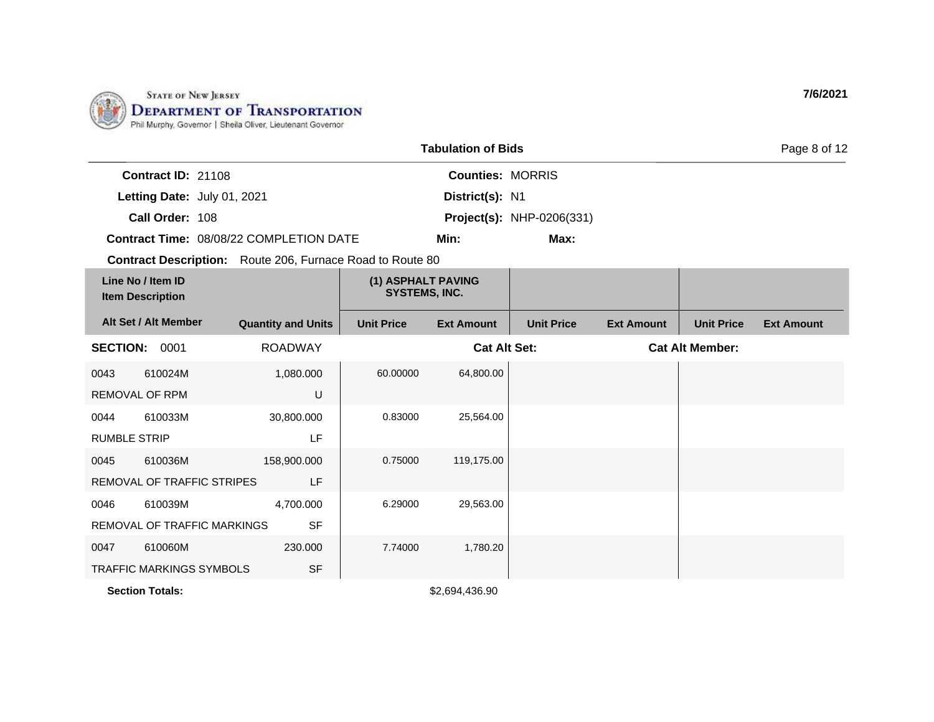

|                     |                                              |                                                                  |                                            | <b>Tabulation of Bids</b> |                                  |                   |                        | Page 8 of 12      |
|---------------------|----------------------------------------------|------------------------------------------------------------------|--------------------------------------------|---------------------------|----------------------------------|-------------------|------------------------|-------------------|
|                     | Contract ID: 21108                           |                                                                  |                                            | <b>Counties: MORRIS</b>   |                                  |                   |                        |                   |
|                     | Letting Date: July 01, 2021                  |                                                                  |                                            | District(s): N1           |                                  |                   |                        |                   |
|                     | Call Order: 108                              |                                                                  |                                            |                           | <b>Project(s): NHP-0206(331)</b> |                   |                        |                   |
|                     |                                              | Contract Time: 08/08/22 COMPLETION DATE                          |                                            | Min:                      | Max:                             |                   |                        |                   |
|                     |                                              | <b>Contract Description:</b> Route 206, Furnace Road to Route 80 |                                            |                           |                                  |                   |                        |                   |
|                     | Line No / Item ID<br><b>Item Description</b> |                                                                  | (1) ASPHALT PAVING<br><b>SYSTEMS, INC.</b> |                           |                                  |                   |                        |                   |
|                     | Alt Set / Alt Member                         | <b>Quantity and Units</b>                                        | <b>Unit Price</b>                          | <b>Ext Amount</b>         | <b>Unit Price</b>                | <b>Ext Amount</b> | <b>Unit Price</b>      | <b>Ext Amount</b> |
| <b>SECTION:</b>     | 0001                                         | <b>ROADWAY</b>                                                   |                                            | <b>Cat Alt Set:</b>       |                                  |                   | <b>Cat Alt Member:</b> |                   |
| 0043                | 610024M                                      | 1,080.000                                                        | 60.00000                                   | 64,800.00                 |                                  |                   |                        |                   |
|                     | <b>REMOVAL OF RPM</b>                        | U                                                                |                                            |                           |                                  |                   |                        |                   |
| 0044                | 610033M                                      | 30,800.000                                                       | 0.83000                                    | 25,564.00                 |                                  |                   |                        |                   |
| <b>RUMBLE STRIP</b> |                                              | LF                                                               |                                            |                           |                                  |                   |                        |                   |
| 0045                | 610036M                                      | 158,900.000                                                      | 0.75000                                    | 119,175.00                |                                  |                   |                        |                   |
|                     | REMOVAL OF TRAFFIC STRIPES                   | LF                                                               |                                            |                           |                                  |                   |                        |                   |
| 0046                | 610039M                                      | 4,700.000                                                        | 6.29000                                    | 29,563.00                 |                                  |                   |                        |                   |
|                     | <b>REMOVAL OF TRAFFIC MARKINGS</b>           | <b>SF</b>                                                        |                                            |                           |                                  |                   |                        |                   |
| 0047                | 610060M                                      | 230,000                                                          | 7.74000                                    | 1,780.20                  |                                  |                   |                        |                   |

**Section Totals:**  $$2,694,436.90$ 

TRAFFIC MARKINGS SYMBOLS

SF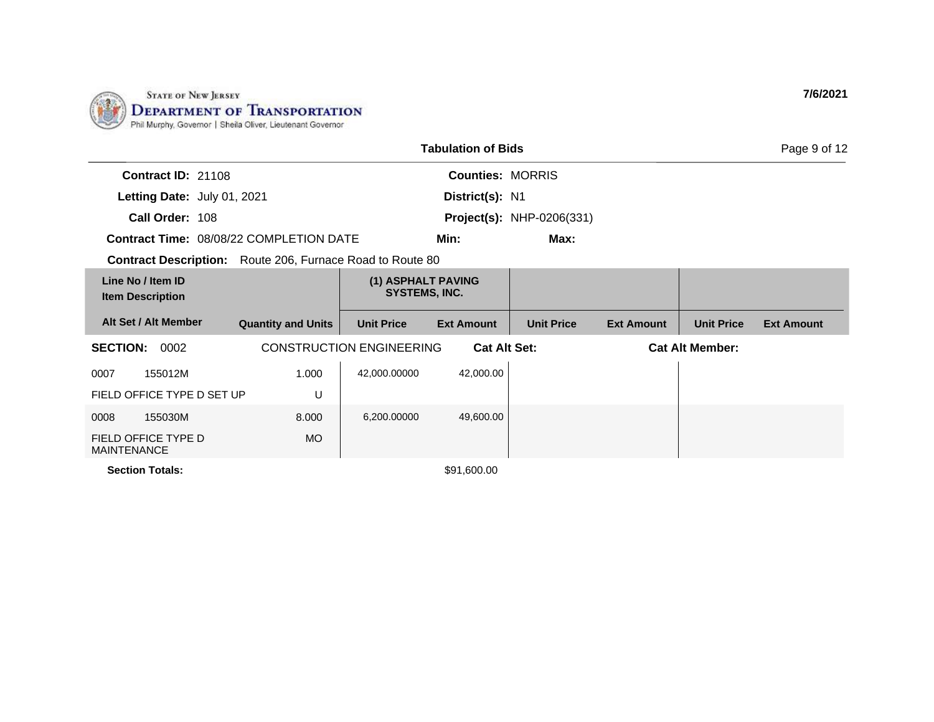

| <b>Tabulation of Bids</b><br>Page 9 of 12                        |                           |                                                        |                         |                                  |                        |                   |                   |  |  |
|------------------------------------------------------------------|---------------------------|--------------------------------------------------------|-------------------------|----------------------------------|------------------------|-------------------|-------------------|--|--|
| <b>Contract ID: 21108</b>                                        |                           |                                                        | <b>Counties: MORRIS</b> |                                  |                        |                   |                   |  |  |
| Letting Date: July 01, 2021                                      |                           |                                                        | District(s): N1         |                                  |                        |                   |                   |  |  |
| Call Order: 108                                                  |                           |                                                        |                         | <b>Project(s): NHP-0206(331)</b> |                        |                   |                   |  |  |
| <b>Contract Time: 08/08/22 COMPLETION DATE</b>                   |                           |                                                        | Min:                    | Max:                             |                        |                   |                   |  |  |
| <b>Contract Description:</b> Route 206, Furnace Road to Route 80 |                           |                                                        |                         |                                  |                        |                   |                   |  |  |
| Line No / Item ID<br><b>Item Description</b>                     |                           | (1) ASPHALT PAVING<br><b>SYSTEMS, INC.</b>             |                         |                                  |                        |                   |                   |  |  |
| Alt Set / Alt Member                                             | <b>Quantity and Units</b> | <b>Unit Price</b>                                      | <b>Ext Amount</b>       | <b>Unit Price</b>                | <b>Ext Amount</b>      | <b>Unit Price</b> | <b>Ext Amount</b> |  |  |
| <b>SECTION:</b><br>0002                                          |                           | <b>CONSTRUCTION ENGINEERING</b><br><b>Cat Alt Set:</b> |                         |                                  | <b>Cat Alt Member:</b> |                   |                   |  |  |
| 155012M<br>0007                                                  | 1.000                     | 42,000.00000                                           | 42,000.00               |                                  |                        |                   |                   |  |  |
| FIELD OFFICE TYPE D SET UP                                       | U                         |                                                        |                         |                                  |                        |                   |                   |  |  |
| 155030M<br>0008                                                  | 8.000                     | 6,200.00000                                            | 49,600.00               |                                  |                        |                   |                   |  |  |
| FIELD OFFICE TYPE D<br><b>MAINTENANCE</b>                        | <b>MO</b>                 |                                                        |                         |                                  |                        |                   |                   |  |  |
| <b>Section Totals:</b>                                           |                           |                                                        | \$91,600.00             |                                  |                        |                   |                   |  |  |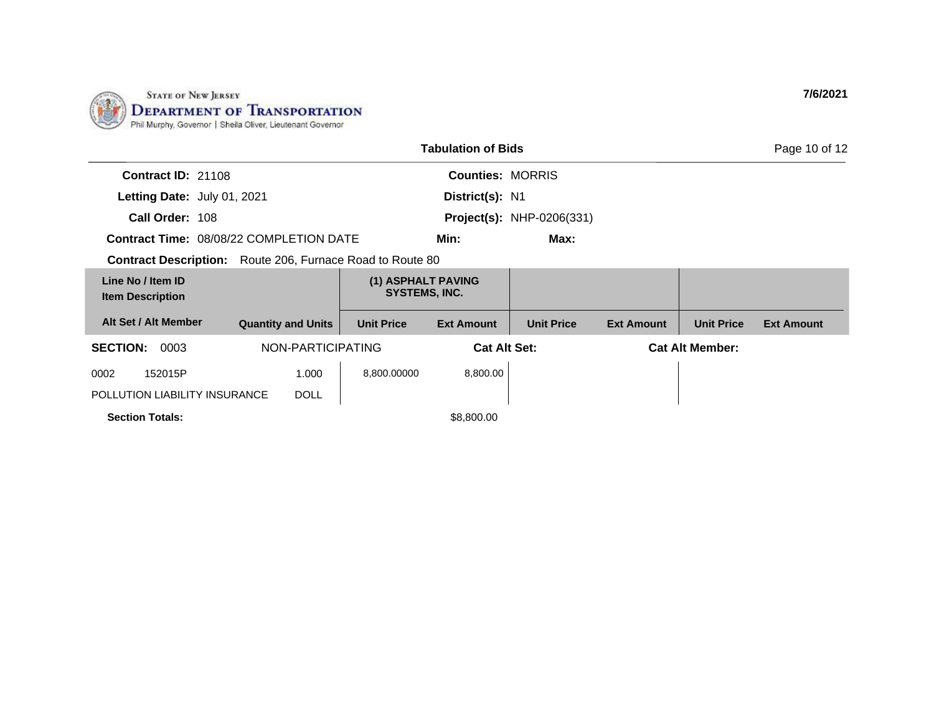

|                                              |                                                |                                     | <b>Tabulation of Bids</b>                  |                                  |                   |                        | Page 10 of 12     |
|----------------------------------------------|------------------------------------------------|-------------------------------------|--------------------------------------------|----------------------------------|-------------------|------------------------|-------------------|
| Contract ID: 21108                           |                                                |                                     | <b>Counties: MORRIS</b>                    |                                  |                   |                        |                   |
| Letting Date: July 01, 2021                  |                                                |                                     | District(s): N1                            |                                  |                   |                        |                   |
| Call Order: 108                              |                                                |                                     |                                            | <b>Project(s): NHP-0206(331)</b> |                   |                        |                   |
|                                              | <b>Contract Time: 08/08/22 COMPLETION DATE</b> |                                     | Min:                                       | Max:                             |                   |                        |                   |
| <b>Contract Description:</b>                 |                                                | Route 206, Furnace Road to Route 80 |                                            |                                  |                   |                        |                   |
| Line No / Item ID<br><b>Item Description</b> |                                                |                                     | (1) ASPHALT PAVING<br><b>SYSTEMS, INC.</b> |                                  |                   |                        |                   |
| Alt Set / Alt Member                         | <b>Quantity and Units</b>                      | <b>Unit Price</b>                   | <b>Ext Amount</b>                          | <b>Unit Price</b>                | <b>Ext Amount</b> | <b>Unit Price</b>      | <b>Ext Amount</b> |
| <b>SECTION:</b><br>0003                      | NON-PARTICIPATING                              |                                     |                                            | <b>Cat Alt Set:</b>              |                   | <b>Cat Alt Member:</b> |                   |
| 152015P<br>0002                              | 1.000                                          | 8,800.00000                         | 8,800.00                                   |                                  |                   |                        |                   |
| POLLUTION LIABILITY INSURANCE                | <b>DOLL</b>                                    |                                     |                                            |                                  |                   |                        |                   |
| <b>Section Totals:</b>                       |                                                |                                     | \$8,800.00                                 |                                  |                   |                        |                   |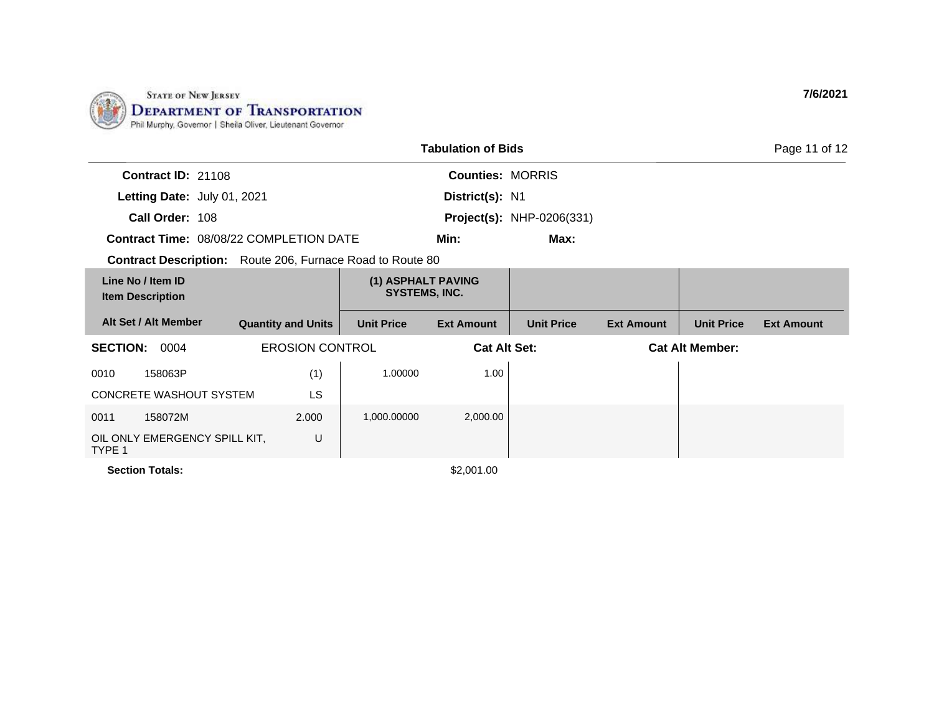

| <b>Tabulation of Bids</b><br>Page 11 of 12                |                           |                                            |                         |                                  |                        |                   |                   |  |  |
|-----------------------------------------------------------|---------------------------|--------------------------------------------|-------------------------|----------------------------------|------------------------|-------------------|-------------------|--|--|
| Contract ID: 21108                                        |                           |                                            | <b>Counties: MORRIS</b> |                                  |                        |                   |                   |  |  |
| Letting Date: July 01, 2021                               |                           |                                            | District(s): N1         |                                  |                        |                   |                   |  |  |
| Call Order: 108                                           |                           |                                            |                         | <b>Project(s):</b> NHP-0206(331) |                        |                   |                   |  |  |
| <b>Contract Time: 08/08/22 COMPLETION DATE</b>            |                           |                                            | Min:                    | Max:                             |                        |                   |                   |  |  |
| Contract Description: Route 206, Furnace Road to Route 80 |                           |                                            |                         |                                  |                        |                   |                   |  |  |
| Line No / Item ID<br><b>Item Description</b>              |                           | (1) ASPHALT PAVING<br><b>SYSTEMS, INC.</b> |                         |                                  |                        |                   |                   |  |  |
| Alt Set / Alt Member                                      | <b>Quantity and Units</b> | <b>Unit Price</b>                          | <b>Ext Amount</b>       | <b>Unit Price</b>                | <b>Ext Amount</b>      | <b>Unit Price</b> | <b>Ext Amount</b> |  |  |
| <b>SECTION:</b><br>0004                                   | <b>EROSION CONTROL</b>    |                                            | <b>Cat Alt Set:</b>     |                                  | <b>Cat Alt Member:</b> |                   |                   |  |  |
| 158063P<br>0010                                           | (1)                       | 1.00000                                    | 1.00                    |                                  |                        |                   |                   |  |  |
| <b>CONCRETE WASHOUT SYSTEM</b>                            | <b>LS</b>                 |                                            |                         |                                  |                        |                   |                   |  |  |
| 158072M<br>0011                                           | 2.000                     | 1,000.00000                                | 2,000.00                |                                  |                        |                   |                   |  |  |
| OIL ONLY EMERGENCY SPILL KIT,<br>TYPE 1                   | U                         |                                            |                         |                                  |                        |                   |                   |  |  |

**Section Totals:**  $$2,001.00$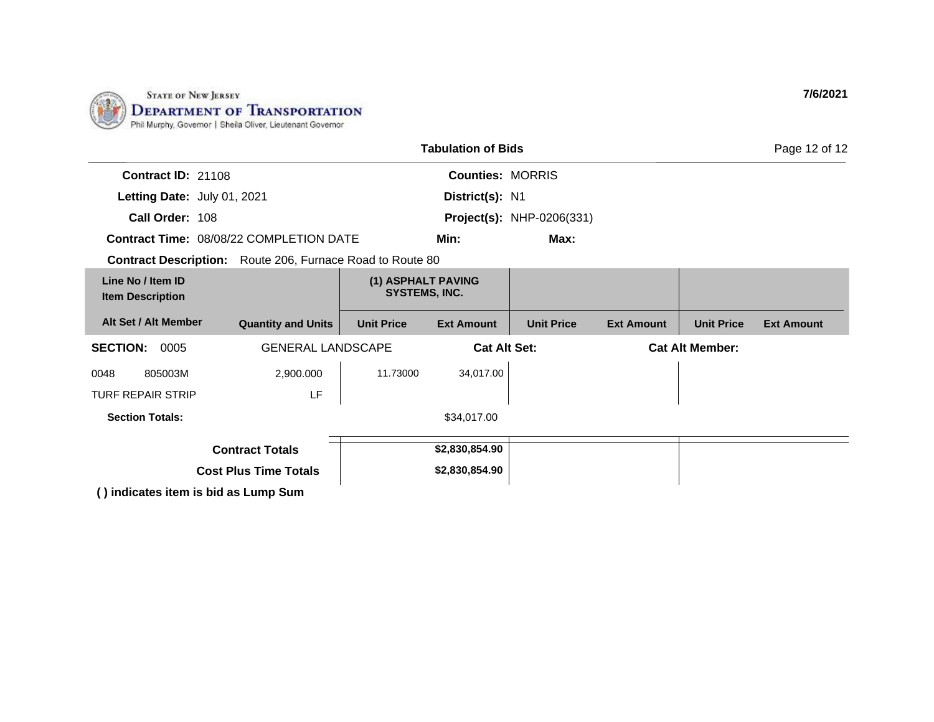

|                                                                  |                              |                                            | <b>Tabulation of Bids</b> |                                  |                        |                   | Page 12 of 12     |
|------------------------------------------------------------------|------------------------------|--------------------------------------------|---------------------------|----------------------------------|------------------------|-------------------|-------------------|
| Contract ID: 21108                                               |                              |                                            | <b>Counties: MORRIS</b>   |                                  |                        |                   |                   |
| Letting Date: July 01, 2021                                      |                              |                                            | District(s): N1           |                                  |                        |                   |                   |
| Call Order: 108                                                  |                              |                                            |                           | <b>Project(s):</b> NHP-0206(331) |                        |                   |                   |
| <b>Contract Time: 08/08/22 COMPLETION DATE</b>                   |                              |                                            | Min:                      | Max:                             |                        |                   |                   |
| <b>Contract Description:</b> Route 206, Furnace Road to Route 80 |                              |                                            |                           |                                  |                        |                   |                   |
| Line No / Item ID<br><b>Item Description</b>                     |                              | (1) ASPHALT PAVING<br><b>SYSTEMS, INC.</b> |                           |                                  |                        |                   |                   |
| Alt Set / Alt Member                                             | <b>Quantity and Units</b>    | <b>Unit Price</b>                          | <b>Ext Amount</b>         | <b>Unit Price</b>                | <b>Ext Amount</b>      | <b>Unit Price</b> | <b>Ext Amount</b> |
| <b>SECTION: 0005</b>                                             | <b>GENERAL LANDSCAPE</b>     | <b>Cat Alt Set:</b>                        |                           |                                  | <b>Cat Alt Member:</b> |                   |                   |
| 805003M<br>0048                                                  | 2,900.000                    | 11.73000                                   | 34,017.00                 |                                  |                        |                   |                   |
| <b>TURF REPAIR STRIP</b>                                         | LF                           |                                            |                           |                                  |                        |                   |                   |
| <b>Section Totals:</b>                                           |                              |                                            | \$34,017.00               |                                  |                        |                   |                   |
|                                                                  | <b>Contract Totals</b>       |                                            | \$2,830,854.90            |                                  |                        |                   |                   |
|                                                                  | <b>Cost Plus Time Totals</b> |                                            | \$2,830,854.90            |                                  |                        |                   |                   |
| () indicates item is hid as Lumn Sum                             |                              |                                            |                           |                                  |                        |                   |                   |

**( ) indicates item is bid as Lump Sum**